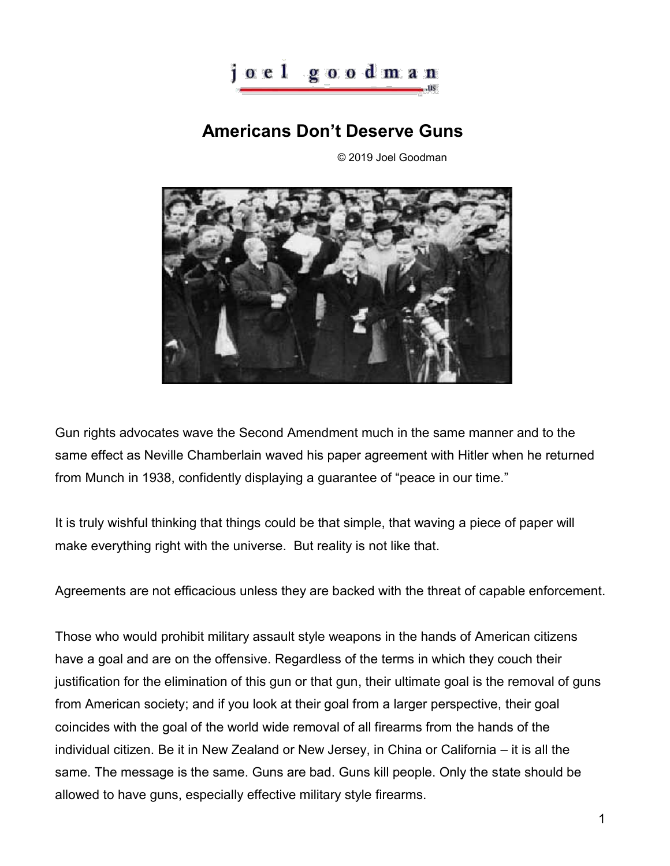

## **Americans Don't Deserve Guns**

© 2019 Joel Goodman



Gun rights advocates wave the Second Amendment much in the same manner and to the same effect as Neville Chamberlain waved his paper agreement with Hitler when he returned from Munch in 1938, confidently displaying a guarantee of "peace in our time."

It is truly wishful thinking that things could be that simple, that waving a piece of paper will make everything right with the universe. But reality is not like that.

Agreements are not efficacious unless they are backed with the threat of capable enforcement.

Those who would prohibit military assault style weapons in the hands of American citizens have a goal and are on the offensive. Regardless of the terms in which they couch their justification for the elimination of this gun or that gun, their ultimate goal is the removal of guns from American society; and if you look at their goal from a larger perspective, their goal coincides with the goal of the world wide removal of all firearms from the hands of the individual citizen. Be it in New Zealand or New Jersey, in China or California – it is all the same. The message is the same. Guns are bad. Guns kill people. Only the state should be allowed to have guns, especially effective military style firearms.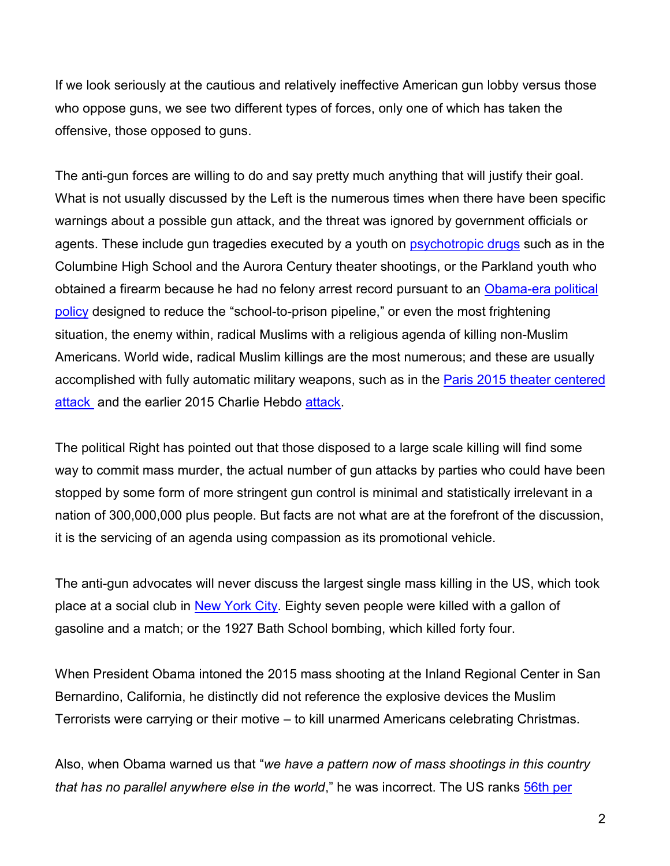If we look seriously at the cautious and relatively ineffective American gun lobby versus those who oppose guns, we see two different types of forces, only one of which has taken the offensive, those opposed to guns.

The anti-gun forces are willing to do and say pretty much anything that will justify their goal. What is not usually discussed by the Left is the numerous times when there have been specific warnings about a possible gun attack, and the threat was ignored by government officials or agents. These include gun tragedies executed by a youth on **psychotropic drugs** such as in the Columbine High School and the Aurora Century theater shootings, or the Parkland youth who obtained a firearm because he had no felony arrest record pursuant to an [Obama-era political](https://www.nationalreview.com/2018/03/parkland-shooting-school-discipline-policies-limited-law-enforcement-involvement-with-students/)  [policy](https://www.nationalreview.com/2018/03/parkland-shooting-school-discipline-policies-limited-law-enforcement-involvement-with-students/) designed to reduce the "school-to-prison pipeline," or even the most frightening situation, the enemy within, radical Muslims with a religious agenda of killing non-Muslim Americans. World wide, radical Muslim killings are the most numerous; and these are usually accomplished with fully automatic military weapons, such as in the [Paris 2015 theater centered](https://en.wikipedia.org/wiki/November_2015_Paris_attacks)  [attack](https://en.wikipedia.org/wiki/November_2015_Paris_attacks) and the earlier 2015 Charlie Hebdo [attack.](https://en.wikipedia.org/wiki/Charlie_Hebdo_shooting)

The political Right has pointed out that those disposed to a large scale killing will find some way to commit mass murder, the actual number of gun attacks by parties who could have been stopped by some form of more stringent gun control is minimal and statistically irrelevant in a nation of 300,000,000 plus people. But facts are not what are at the forefront of the discussion, it is the servicing of an agenda using compassion as its promotional vehicle.

The anti-gun advocates will never discuss the largest single mass killing in the US, which took place at a social club in [New York City.](https://en.wikipedia.org/wiki/Happy_Land_fire) Eighty seven people were killed with a gallon of gasoline and a match; or the 1927 Bath School bombing, which killed forty four.

When President Obama intoned the 2015 mass shooting at the Inland Regional Center in San Bernardino, California, he distinctly did not reference the explosive devices the Muslim Terrorists were carrying or their motive – to kill unarmed Americans celebrating Christmas.

Also, when Obama warned us that "*we have a pattern now of mass shootings in this country that has no parallel anywhere else in the world*," he was incorrect. The US ranks [56th per](https://nypost.com/2018/08/30/america-doesnt-actually-lead-the-world-in-mass-shootings/)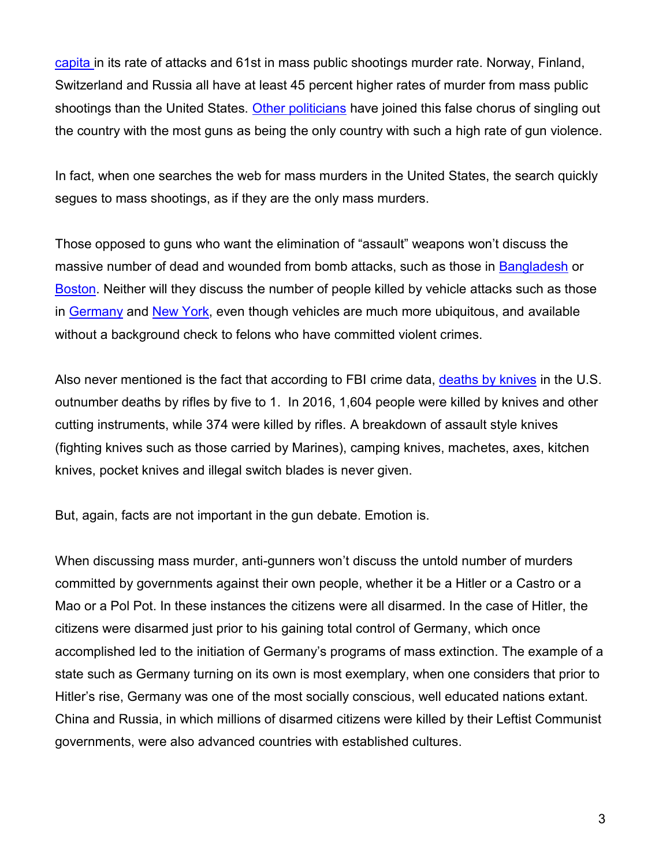[capita i](https://nypost.com/2018/08/30/america-doesnt-actually-lead-the-world-in-mass-shootings/)n its rate of attacks and 61st in mass public shootings murder rate. Norway, Finland, Switzerland and Russia all have at least 45 percent higher rates of murder from mass public shootings than the United States. [Other politicians](https://www.investors.com/politics/editorials/sorry-despite-gun-control-advocates-claims-u-s-isnt-the-worst-country-for-mass-shootings/) have joined this false chorus of singling out the country with the most guns as being the only country with such a high rate of gun violence.

In fact, when one searches the web for mass murders in the United States, the search quickly segues to mass shootings, as if they are the only mass murders.

Those opposed to guns who want the elimination of "assault" weapons won't discuss the massive number of dead and wounded from bomb attacks, such as those in [Bangladesh](https://en.wikipedia.org/wiki/2005_Bangladesh_series_bombings) or [Boston.](https://en.wikipedia.org/wiki/Boston_Marathon_bombing) Neither will they discuss the number of people killed by vehicle attacks such as those in [Germany](https://en.wikipedia.org/wiki/2016_Berlin_truck_attack) and [New York,](https://en.wikipedia.org/wiki/2017_New_York_City_truck_attack) even though vehicles are much more ubiquitous, and available without a background check to felons who have committed violent crimes.

Also never mentioned is the fact that according to FBI crime data, [deaths by knives](https://dailycaller.com/2018/02/19/knives-gun-control-fbi-statistics/) in the U.S. outnumber deaths by rifles by five to 1. In 2016, 1,604 people were killed by knives and other cutting instruments, while 374 were killed by rifles. A breakdown of assault style knives (fighting knives such as those carried by Marines), camping knives, machetes, axes, kitchen knives, pocket knives and illegal switch blades is never given.

But, again, facts are not important in the gun debate. Emotion is.

When discussing mass murder, anti-gunners won't discuss the untold number of murders committed by governments against their own people, whether it be a Hitler or a Castro or a Mao or a Pol Pot. In these instances the citizens were all disarmed. In the case of Hitler, the citizens were disarmed just prior to his gaining total control of Germany, which once accomplished led to the initiation of Germany's programs of mass extinction. The example of a state such as Germany turning on its own is most exemplary, when one considers that prior to Hitler's rise, Germany was one of the most socially conscious, well educated nations extant. China and Russia, in which millions of disarmed citizens were killed by their Leftist Communist governments, were also advanced countries with established cultures.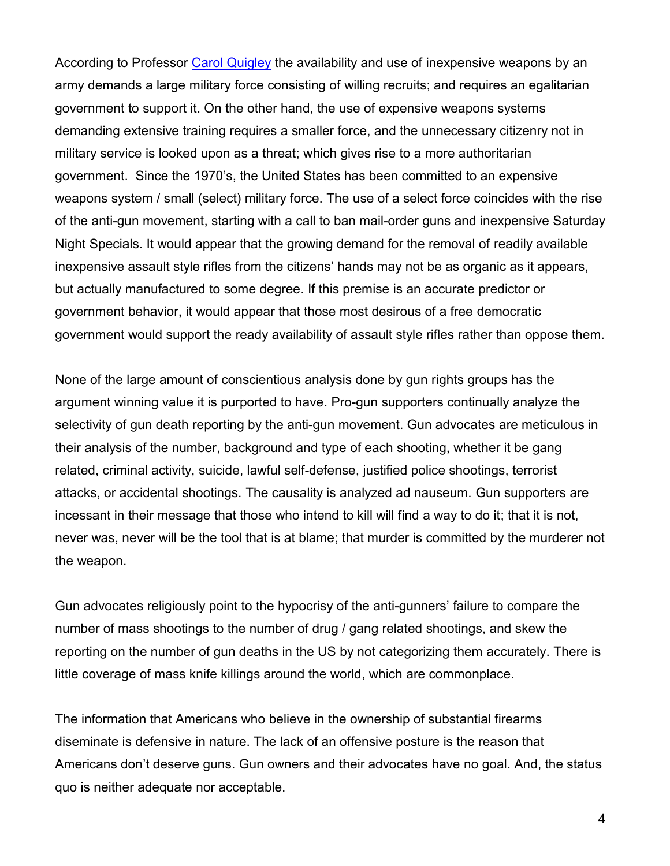According to Professor [Carol Quigley](http://www.carrollquigley.net/pdf/Weapons%20Systems%20and%20Political%20Stability.pdf) the availability and use of inexpensive weapons by an army demands a large military force consisting of willing recruits; and requires an egalitarian government to support it. On the other hand, the use of expensive weapons systems demanding extensive training requires a smaller force, and the unnecessary citizenry not in military service is looked upon as a threat; which gives rise to a more authoritarian government. Since the 1970's, the United States has been committed to an expensive weapons system / small (select) military force. The use of a select force coincides with the rise of the anti-gun movement, starting with a call to ban mail-order guns and inexpensive Saturday Night Specials. It would appear that the growing demand for the removal of readily available inexpensive assault style rifles from the citizens' hands may not be as organic as it appears, but actually manufactured to some degree. If this premise is an accurate predictor or government behavior, it would appear that those most desirous of a free democratic government would support the ready availability of assault style rifles rather than oppose them.

None of the large amount of conscientious analysis done by gun rights groups has the argument winning value it is purported to have. Pro-gun supporters continually analyze the selectivity of gun death reporting by the anti-gun movement. Gun advocates are meticulous in their analysis of the number, background and type of each shooting, whether it be gang related, criminal activity, suicide, lawful self-defense, justified police shootings, terrorist attacks, or accidental shootings. The causality is analyzed ad nauseum. Gun supporters are incessant in their message that those who intend to kill will find a way to do it; that it is not, never was, never will be the tool that is at blame; that murder is committed by the murderer not the weapon.

Gun advocates religiously point to the hypocrisy of the anti-gunners' failure to compare the number of mass shootings to the number of drug / gang related shootings, and skew the reporting on the number of gun deaths in the US by not categorizing them accurately. There is little coverage of mass knife killings around the world, which are commonplace.

The information that Americans who believe in the ownership of substantial firearms diseminate is defensive in nature. The lack of an offensive posture is the reason that Americans don't deserve guns. Gun owners and their advocates have no goal. And, the status quo is neither adequate nor acceptable.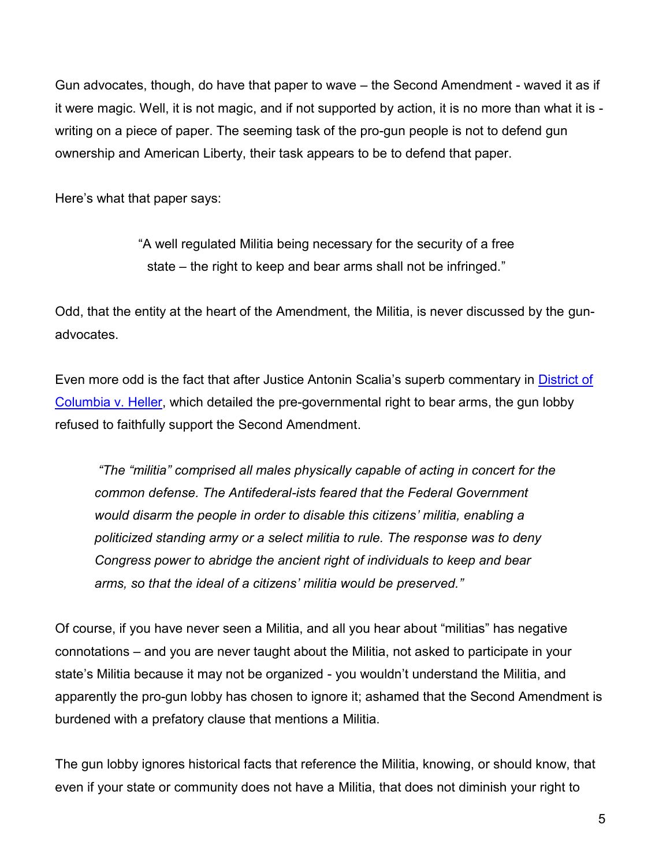Gun advocates, though, do have that paper to wave – the Second Amendment - waved it as if it were magic. Well, it is not magic, and if not supported by action, it is no more than what it is writing on a piece of paper. The seeming task of the pro-gun people is not to defend gun ownership and American Liberty, their task appears to be to defend that paper.

Here's what that paper says:

"A well regulated Militia being necessary for the security of a free state – the right to keep and bear arms shall not be infringed."

Odd, that the entity at the heart of the Amendment, the Militia, is never discussed by the gunadvocates.

Even more odd is the fact that after Justice Antonin Scalia's superb commentary in [District of](https://www.supremecourt.gov/opinions/07pdf/07-290.pdf)  [Columbia v. Heller,](https://www.supremecourt.gov/opinions/07pdf/07-290.pdf) which detailed the pre-governmental right to bear arms, the gun lobby refused to faithfully support the Second Amendment.

*"The "militia" comprised all males physically capable of acting in concert for the common defense. The Antifederal-ists feared that the Federal Government would disarm the people in order to disable this citizens' militia, enabling a politicized standing army or a select militia to rule. The response was to deny Congress power to abridge the ancient right of individuals to keep and bear arms, so that the ideal of a citizens' militia would be preserved."* 

Of course, if you have never seen a Militia, and all you hear about "militias" has negative connotations – and you are never taught about the Militia, not asked to participate in your state's Militia because it may not be organized - you wouldn't understand the Militia, and apparently the pro-gun lobby has chosen to ignore it; ashamed that the Second Amendment is burdened with a prefatory clause that mentions a Militia.

The gun lobby ignores historical facts that reference the Militia, knowing, or should know, that even if your state or community does not have a Militia, that does not diminish your right to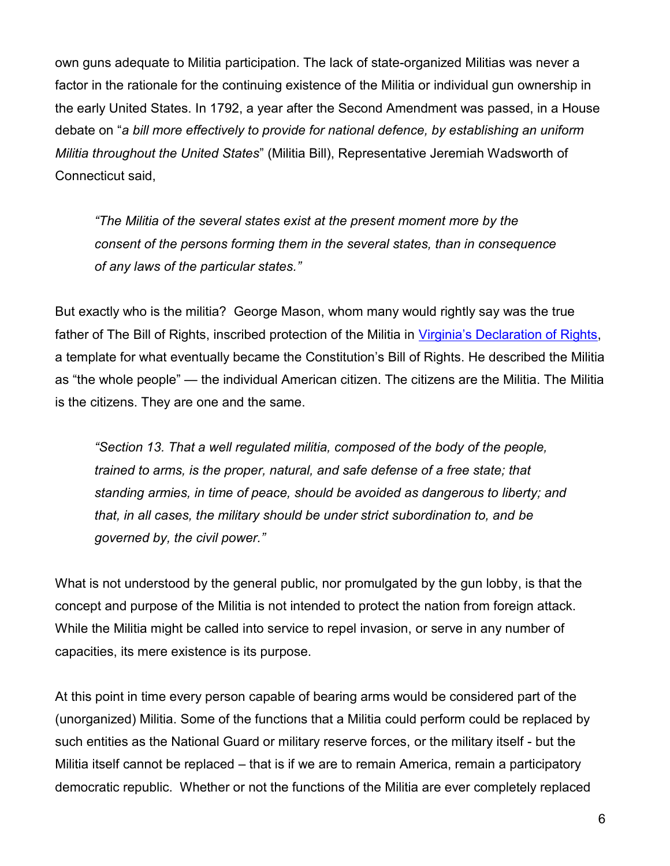own guns adequate to Militia participation. The lack of state-organized Militias was never a factor in the rationale for the continuing existence of the Militia or individual gun ownership in the early United States. In 1792, a year after the Second Amendment was passed, in a House debate on "*a bill more effectively to provide for national defence, by establishing an uniform Militia throughout the United States*" (Militia Bill), Representative Jeremiah Wadsworth of Connecticut said,

*"The Militia of the several states exist at the present moment more by the consent of the persons forming them in the several states, than in consequence of any laws of the particular states."* 

But exactly who is the militia? George Mason, whom many would rightly say was the true father of The Bill of Rights, inscribed protection of the Militia in Virginia'[s Declaration of Rights,](https://usconstitution.net/vdeclar.html) a template for what eventually became the Constitution's Bill of Rights. He described the Militia as "the whole people" — the individual American citizen. The citizens are the Militia. The Militia is the citizens. They are one and the same.

*"Section 13. That a well regulated militia, composed of the body of the people, trained to arms, is the proper, natural, and safe defense of a free state; that standing armies, in time of peace, should be avoided as dangerous to liberty; and that, in all cases, the military should be under strict subordination to, and be governed by, the civil power."*

What is not understood by the general public, nor promulgated by the gun lobby, is that the concept and purpose of the Militia is not intended to protect the nation from foreign attack. While the Militia might be called into service to repel invasion, or serve in any number of capacities, its mere existence is its purpose.

At this point in time every person capable of bearing arms would be considered part of the (unorganized) Militia. Some of the functions that a Militia could perform could be replaced by such entities as the National Guard or military reserve forces, or the military itself - but the Militia itself cannot be replaced – that is if we are to remain America, remain a participatory democratic republic. Whether or not the functions of the Militia are ever completely replaced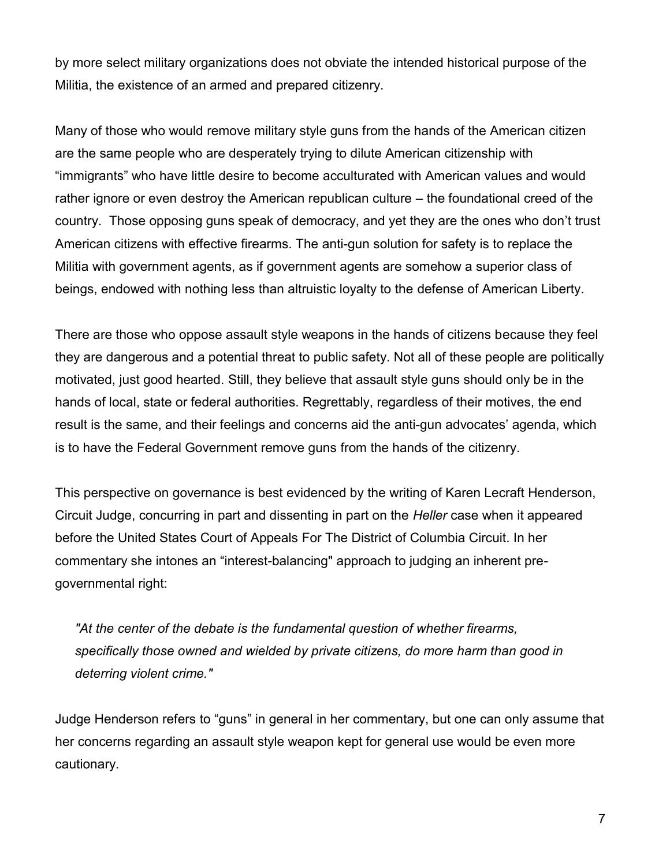by more select military organizations does not obviate the intended historical purpose of the Militia, the existence of an armed and prepared citizenry.

Many of those who would remove military style guns from the hands of the American citizen are the same people who are desperately trying to dilute American citizenship with "immigrants" who have little desire to become acculturated with American values and would rather ignore or even destroy the American republican culture – the foundational creed of the country. Those opposing guns speak of democracy, and yet they are the ones who don't trust American citizens with effective firearms. The anti-gun solution for safety is to replace the Militia with government agents, as if government agents are somehow a superior class of beings, endowed with nothing less than altruistic loyalty to the defense of American Liberty.

There are those who oppose assault style weapons in the hands of citizens because they feel they are dangerous and a potential threat to public safety. Not all of these people are politically motivated, just good hearted. Still, they believe that assault style guns should only be in the hands of local, state or federal authorities. Regrettably, regardless of their motives, the end result is the same, and their feelings and concerns aid the anti-gun advocates' agenda, which is to have the Federal Government remove guns from the hands of the citizenry.

This perspective on governance is best evidenced by the writing of Karen Lecraft Henderson, Circuit Judge, concurring in part and dissenting in part on the *Heller* case when it appeared before the United States Court of Appeals For The District of Columbia Circuit. In her commentary she intones an "interest-balancing" approach to judging an inherent pregovernmental right:

*"At the center of the debate is the fundamental question of whether firearms, specifically those owned and wielded by private citizens, do more harm than good in deterring violent crime."* 

Judge Henderson refers to "guns" in general in her commentary, but one can only assume that her concerns regarding an assault style weapon kept for general use would be even more cautionary.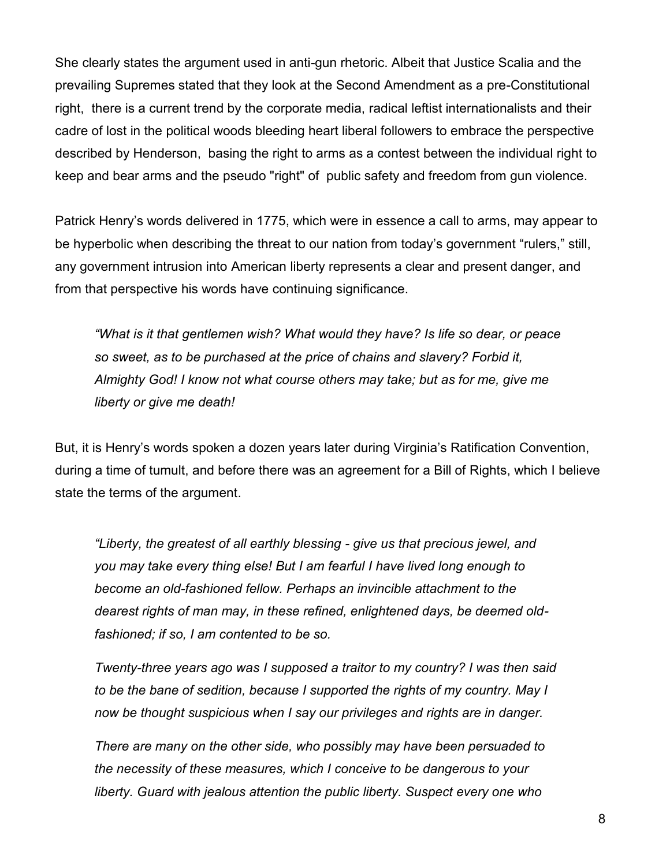She clearly states the argument used in anti-gun rhetoric. Albeit that Justice Scalia and the prevailing Supremes stated that they look at the Second Amendment as a pre-Constitutional right, there is a current trend by the corporate media, radical leftist internationalists and their cadre of lost in the political woods bleeding heart liberal followers to embrace the perspective described by Henderson, basing the right to arms as a contest between the individual right to keep and bear arms and the pseudo "right" of public safety and freedom from gun violence.

Patrick Henry's words delivered in 1775, which were in essence a call to arms, may appear to be hyperbolic when describing the threat to our nation from today's government "rulers," still, any government intrusion into American liberty represents a clear and present danger, and from that perspective his words have continuing significance.

*"What is it that gentlemen wish? What would they have? Is life so dear, or peace so sweet, as to be purchased at the price of chains and slavery? Forbid it, Almighty God! I know not what course others may take; but as for me, give me liberty or give me death!* 

But, it is Henry's words spoken a dozen years later during Virginia's Ratification Convention, during a time of tumult, and before there was an agreement for a Bill of Rights, which I believe state the terms of the argument.

*"Liberty, the greatest of all earthly blessing - give us that precious jewel, and you may take every thing else! But I am fearful I have lived long enough to become an old-fashioned fellow. Perhaps an invincible attachment to the dearest rights of man may, in these refined, enlightened days, be deemed oldfashioned; if so, I am contented to be so.* 

*Twenty-three years ago was I supposed a traitor to my country? I was then said to be the bane of sedition, because I supported the rights of my country. May I now be thought suspicious when I say our privileges and rights are in danger.* 

*There are many on the other side, who possibly may have been persuaded to the necessity of these measures, which I conceive to be dangerous to your liberty. Guard with jealous attention the public liberty. Suspect every one who*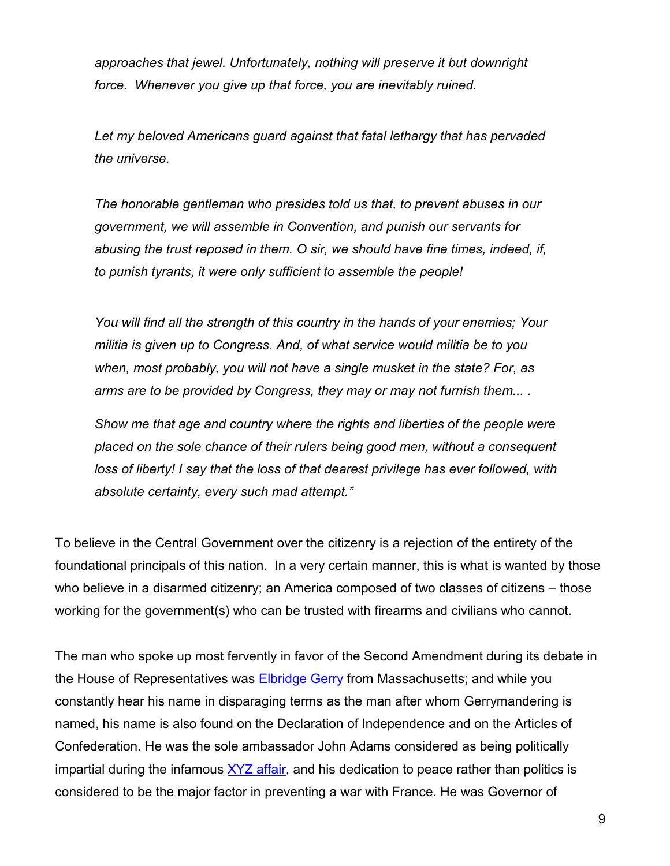*approaches that jewel. Unfortunately, nothing will preserve it but downright force. Whenever you give up that force, you are inevitably ruined.* 

*Let my beloved Americans guard against that fatal lethargy that has pervaded the universe.* 

*The honorable gentleman who presides told us that, to prevent abuses in our government, we will assemble in Convention, and punish our servants for abusing the trust reposed in them. O sir, we should have fine times, indeed, if, to punish tyrants, it were only sufficient to assemble the people!* 

*You will find all the strength of this country in the hands of your enemies; Your militia is given up to Congress. And, of what service would militia be to you when, most probably, you will not have a single musket in the state? For, as arms are to be provided by Congress, they may or may not furnish them... .* 

*Show me that age and country where the rights and liberties of the people were placed on the sole chance of their rulers being good men, without a consequent loss of liberty! I say that the loss of that dearest privilege has ever followed, with absolute certainty, every such mad attempt."*

To believe in the Central Government over the citizenry is a rejection of the entirety of the foundational principals of this nation. In a very certain manner, this is what is wanted by those who believe in a disarmed citizenry; an America composed of two classes of citizens – those working for the government(s) who can be trusted with firearms and civilians who cannot.

The man who spoke up most fervently in favor of the Second Amendment during its debate in the House of Representatives was **Elbridge Gerry from Massachusetts; and while you** constantly hear his name in disparaging terms as the man after whom Gerrymandering is named, his name is also found on the Declaration of Independence and on the Articles of Confederation. He was the sole ambassador John Adams considered as being politically impartial during the infamous  $XYZ$  affair, and his dedication to peace rather than politics is considered to be the major factor in preventing a war with France. He was Governor of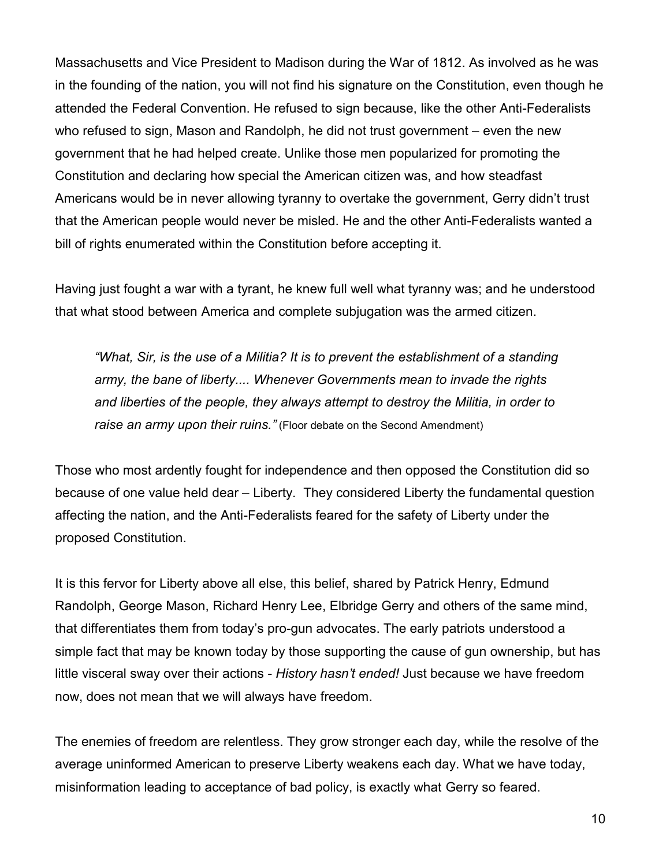Massachusetts and Vice President to Madison during the War of 1812. As involved as he was in the founding of the nation, you will not find his signature on the Constitution, even though he attended the Federal Convention. He refused to sign because, like the other Anti-Federalists who refused to sign, Mason and Randolph, he did not trust government – even the new government that he had helped create. Unlike those men popularized for promoting the Constitution and declaring how special the American citizen was, and how steadfast Americans would be in never allowing tyranny to overtake the government, Gerry didn't trust that the American people would never be misled. He and the other Anti-Federalists wanted a bill of rights enumerated within the Constitution before accepting it.

Having just fought a war with a tyrant, he knew full well what tyranny was; and he understood that what stood between America and complete subjugation was the armed citizen.

*"What, Sir, is the use of a Militia? It is to prevent the establishment of a standing army, the bane of liberty.... Whenever Governments mean to invade the rights and liberties of the people, they always attempt to destroy the Militia, in order to raise an army upon their ruins."* (Floor debate on the Second Amendment)

Those who most ardently fought for independence and then opposed the Constitution did so because of one value held dear – Liberty. They considered Liberty the fundamental question affecting the nation, and the Anti-Federalists feared for the safety of Liberty under the proposed Constitution.

It is this fervor for Liberty above all else, this belief, shared by Patrick Henry, Edmund Randolph, George Mason, Richard Henry Lee, Elbridge Gerry and others of the same mind, that differentiates them from today's pro-gun advocates. The early patriots understood a simple fact that may be known today by those supporting the cause of gun ownership, but has little visceral sway over their actions - *History hasn't ended!* Just because we have freedom now, does not mean that we will always have freedom.

The enemies of freedom are relentless. They grow stronger each day, while the resolve of the average uninformed American to preserve Liberty weakens each day. What we have today, misinformation leading to acceptance of bad policy, is exactly what Gerry so feared.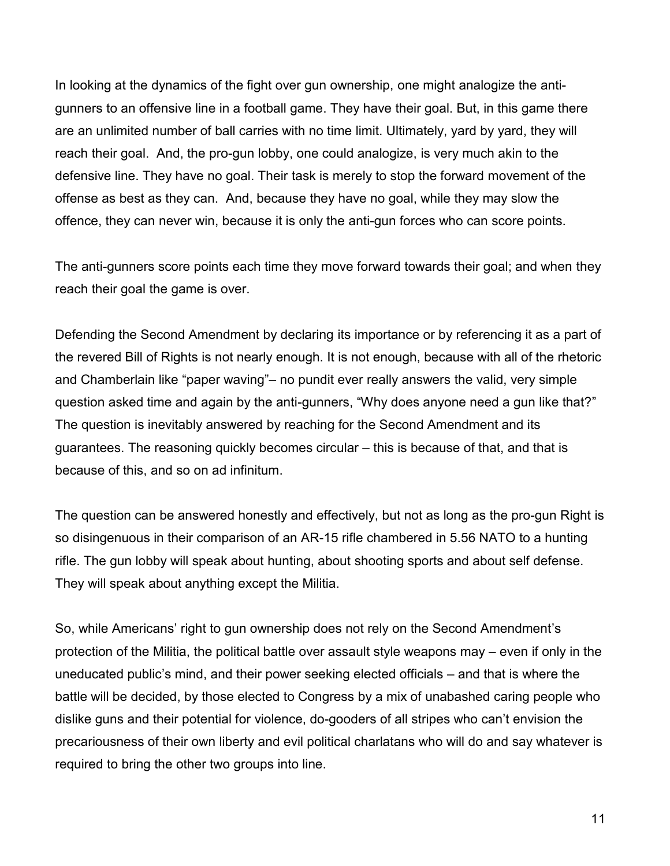In looking at the dynamics of the fight over gun ownership, one might analogize the antigunners to an offensive line in a football game. They have their goal. But, in this game there are an unlimited number of ball carries with no time limit. Ultimately, yard by yard, they will reach their goal. And, the pro-gun lobby, one could analogize, is very much akin to the defensive line. They have no goal. Their task is merely to stop the forward movement of the offense as best as they can. And, because they have no goal, while they may slow the offence, they can never win, because it is only the anti-gun forces who can score points.

The anti-gunners score points each time they move forward towards their goal; and when they reach their goal the game is over.

Defending the Second Amendment by declaring its importance or by referencing it as a part of the revered Bill of Rights is not nearly enough. It is not enough, because with all of the rhetoric and Chamberlain like "paper waving"– no pundit ever really answers the valid, very simple question asked time and again by the anti-gunners, "Why does anyone need a gun like that?" The question is inevitably answered by reaching for the Second Amendment and its guarantees. The reasoning quickly becomes circular – this is because of that, and that is because of this, and so on ad infinitum.

The question can be answered honestly and effectively, but not as long as the pro-gun Right is so disingenuous in their comparison of an AR-15 rifle chambered in 5.56 NATO to a hunting rifle. The gun lobby will speak about hunting, about shooting sports and about self defense. They will speak about anything except the Militia.

So, while Americans' right to gun ownership does not rely on the Second Amendment's protection of the Militia, the political battle over assault style weapons may – even if only in the uneducated public's mind, and their power seeking elected officials – and that is where the battle will be decided, by those elected to Congress by a mix of unabashed caring people who dislike guns and their potential for violence, do-gooders of all stripes who can't envision the precariousness of their own liberty and evil political charlatans who will do and say whatever is required to bring the other two groups into line.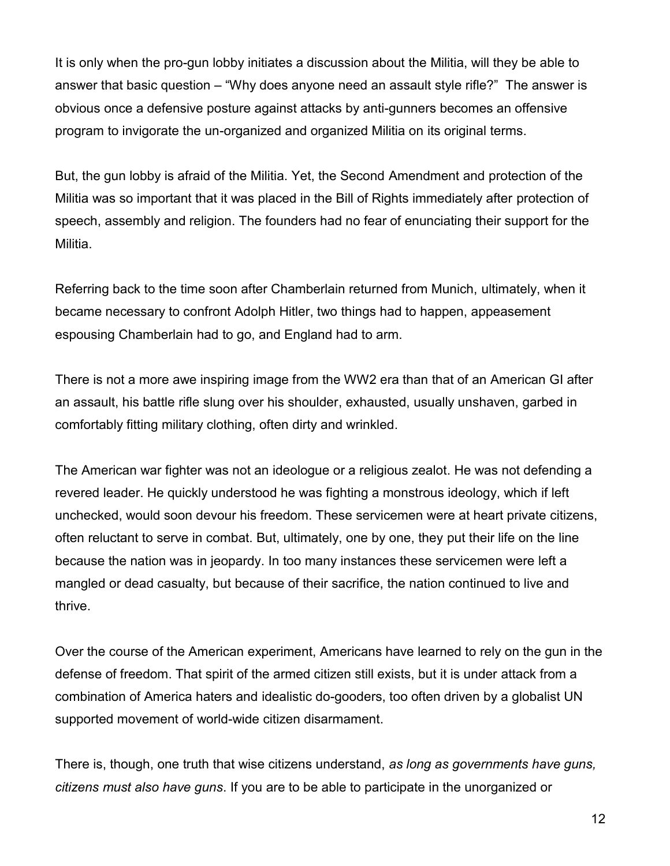It is only when the pro-gun lobby initiates a discussion about the Militia, will they be able to answer that basic question – "Why does anyone need an assault style rifle?" The answer is obvious once a defensive posture against attacks by anti-gunners becomes an offensive program to invigorate the un-organized and organized Militia on its original terms.

But, the gun lobby is afraid of the Militia. Yet, the Second Amendment and protection of the Militia was so important that it was placed in the Bill of Rights immediately after protection of speech, assembly and religion. The founders had no fear of enunciating their support for the Militia.

Referring back to the time soon after Chamberlain returned from Munich, ultimately, when it became necessary to confront Adolph Hitler, two things had to happen, appeasement espousing Chamberlain had to go, and England had to arm.

There is not a more awe inspiring image from the WW2 era than that of an American GI after an assault, his battle rifle slung over his shoulder, exhausted, usually unshaven, garbed in comfortably fitting military clothing, often dirty and wrinkled.

The American war fighter was not an ideologue or a religious zealot. He was not defending a revered leader. He quickly understood he was fighting a monstrous ideology, which if left unchecked, would soon devour his freedom. These servicemen were at heart private citizens, often reluctant to serve in combat. But, ultimately, one by one, they put their life on the line because the nation was in jeopardy. In too many instances these servicemen were left a mangled or dead casualty, but because of their sacrifice, the nation continued to live and thrive.

Over the course of the American experiment, Americans have learned to rely on the gun in the defense of freedom. That spirit of the armed citizen still exists, but it is under attack from a combination of America haters and idealistic do-gooders, too often driven by a globalist UN supported movement of world-wide citizen disarmament.

There is, though, one truth that wise citizens understand, *as long as governments have guns, citizens must also have guns*. If you are to be able to participate in the unorganized or